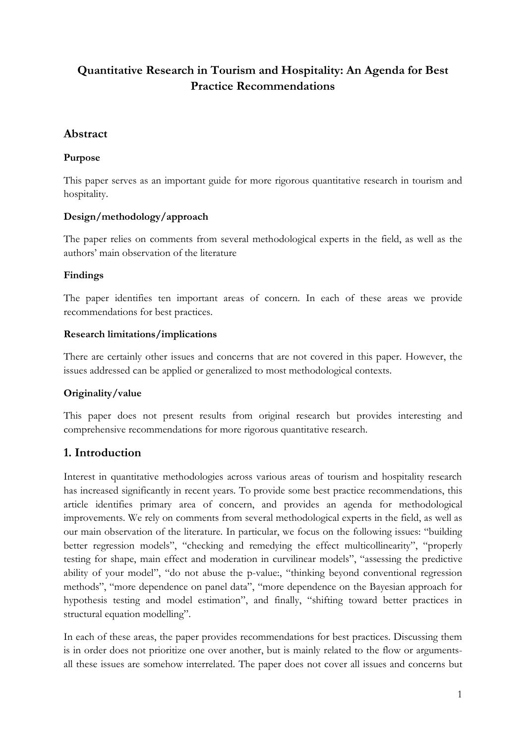# **Quantitative Research in Tourism and Hospitality: An Agenda for Best Practice Recommendations**

## **Abstract**

## **Purpose**

This paper serves as an important guide for more rigorous quantitative research in tourism and hospitality.

## **Design/methodology/approach**

The paper relies on comments from several methodological experts in the field, as well as the authors' main observation of the literature

## **Findings**

The paper identifies ten important areas of concern. In each of these areas we provide recommendations for best practices.

### **Research limitations/implications**

There are certainly other issues and concerns that are not covered in this paper. However, the issues addressed can be applied or generalized to most methodological contexts.

## **Originality/value**

This paper does not present results from original research but provides interesting and comprehensive recommendations for more rigorous quantitative research.

## **1. Introduction**

Interest in quantitative methodologies across various areas of tourism and hospitality research has increased significantly in recent years. To provide some best practice recommendations, this article identifies primary area of concern, and provides an agenda for methodological improvements. We rely on comments from several methodological experts in the field, as well as our main observation of the literature. In particular, we focus on the following issues: "building better regression models", "checking and remedying the effect multicollinearity", "properly testing for shape, main effect and moderation in curvilinear models", "assessing the predictive ability of your model", "do not abuse the p-value:, "thinking beyond conventional regression methods", "more dependence on panel data", "more dependence on the Bayesian approach for hypothesis testing and model estimation", and finally, "shifting toward better practices in structural equation modelling".

In each of these areas, the paper provides recommendations for best practices. Discussing them is in order does not prioritize one over another, but is mainly related to the flow or argumentsall these issues are somehow interrelated. The paper does not cover all issues and concerns but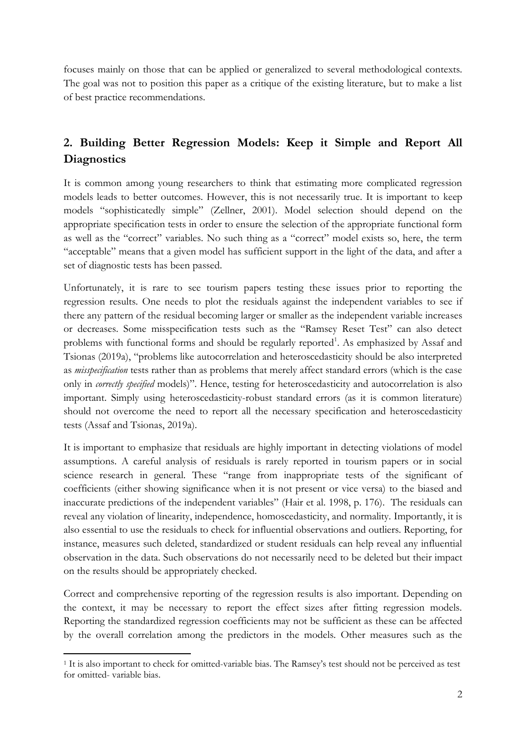focuses mainly on those that can be applied or generalized to several methodological contexts. The goal was not to position this paper as a critique of the existing literature, but to make a list of best practice recommendations.

# **2. Building Better Regression Models: Keep it Simple and Report All Diagnostics**

It is common among young researchers to think that estimating more complicated regression models leads to better outcomes. However, this is not necessarily true. It is important to keep models "sophisticatedly simple" (Zellner, 2001). Model selection should depend on the appropriate specification tests in order to ensure the selection of the appropriate functional form as well as the "correct" variables. No such thing as a "correct" model exists so, here, the term "acceptable" means that a given model has sufficient support in the light of the data, and after a set of diagnostic tests has been passed.

Unfortunately, it is rare to see tourism papers testing these issues prior to reporting the regression results. One needs to plot the residuals against the independent variables to see if there any pattern of the residual becoming larger or smaller as the independent variable increases or decreases. Some misspecification tests such as the "Ramsey Reset Test" can also detect problems with functional forms and should be regularly reported<sup>1</sup>. As emphasized by Assaf and Tsionas (2019a), "problems like autocorrelation and heteroscedasticity should be also interpreted as *misspecification* tests rather than as problems that merely affect standard errors (which is the case only in *correctly specified* models)". Hence, testing for heteroscedasticity and autocorrelation is also important. Simply using heteroscedasticity-robust standard errors (as it is common literature) should not overcome the need to report all the necessary specification and heteroscedasticity tests (Assaf and Tsionas, 2019a).

It is important to emphasize that residuals are highly important in detecting violations of model assumptions. A careful analysis of residuals is rarely reported in tourism papers or in social science research in general. These "range from inappropriate tests of the significant of coefficients (either showing significance when it is not present or vice versa) to the biased and inaccurate predictions of the independent variables" (Hair et al. 1998, p. 176). The residuals can reveal any violation of linearity, independence, homoscedasticity, and normality. Importantly, it is also essential to use the residuals to check for influential observations and outliers. Reporting, for instance, measures such deleted, standardized or student residuals can help reveal any influential observation in the data. Such observations do not necessarily need to be deleted but their impact on the results should be appropriately checked.

Correct and comprehensive reporting of the regression results is also important. Depending on the context, it may be necessary to report the effect sizes after fitting regression models. Reporting the standardized regression coefficients may not be sufficient as these can be affected by the overall correlation among the predictors in the models. Other measures such as the

 $\overline{a}$ 

<sup>1</sup> It is also important to check for omitted-variable bias. The Ramsey's test should not be perceived as test for omitted- variable bias.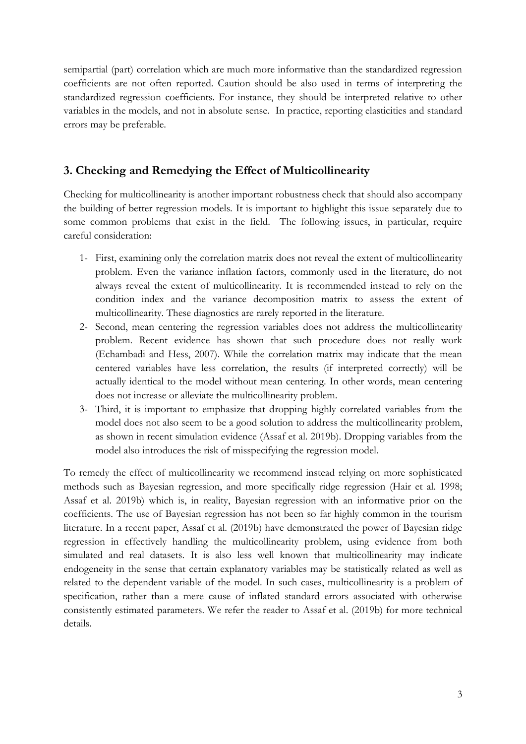semipartial (part) correlation which are much more informative than the standardized regression coefficients are not often reported. Caution should be also used in terms of interpreting the standardized regression coefficients. For instance, they should be interpreted relative to other variables in the models, and not in absolute sense. In practice, reporting elasticities and standard errors may be preferable.

## **3. Checking and Remedying the Effect of Multicollinearity**

Checking for multicollinearity is another important robustness check that should also accompany the building of better regression models. It is important to highlight this issue separately due to some common problems that exist in the field. The following issues, in particular, require careful consideration:

- 1- First, examining only the correlation matrix does not reveal the extent of multicollinearity problem. Even the variance inflation factors, commonly used in the literature, do not always reveal the extent of multicollinearity. It is recommended instead to rely on the condition index and the variance decomposition matrix to assess the extent of multicollinearity. These diagnostics are rarely reported in the literature.
- 2- Second, mean centering the regression variables does not address the multicollinearity problem. Recent evidence has shown that such procedure does not really work (Echambadi and Hess, 2007). While the correlation matrix may indicate that the mean centered variables have less correlation, the results (if interpreted correctly) will be actually identical to the model without mean centering. In other words, mean centering does not increase or alleviate the multicollinearity problem.
- 3- Third, it is important to emphasize that dropping highly correlated variables from the model does not also seem to be a good solution to address the multicollinearity problem, as shown in recent simulation evidence (Assaf et al. 2019b). Dropping variables from the model also introduces the risk of misspecifying the regression model.

To remedy the effect of multicollinearity we recommend instead relying on more sophisticated methods such as Bayesian regression, and more specifically ridge regression (Hair et al. 1998; Assaf et al. 2019b) which is, in reality, Bayesian regression with an informative prior on the coefficients. The use of Bayesian regression has not been so far highly common in the tourism literature. In a recent paper, Assaf et al. (2019b) have demonstrated the power of Bayesian ridge regression in effectively handling the multicollinearity problem, using evidence from both simulated and real datasets. It is also less well known that multicollinearity may indicate endogeneity in the sense that certain explanatory variables may be statistically related as well as related to the dependent variable of the model. In such cases, multicollinearity is a problem of specification, rather than a mere cause of inflated standard errors associated with otherwise consistently estimated parameters. We refer the reader to Assaf et al. (2019b) for more technical details.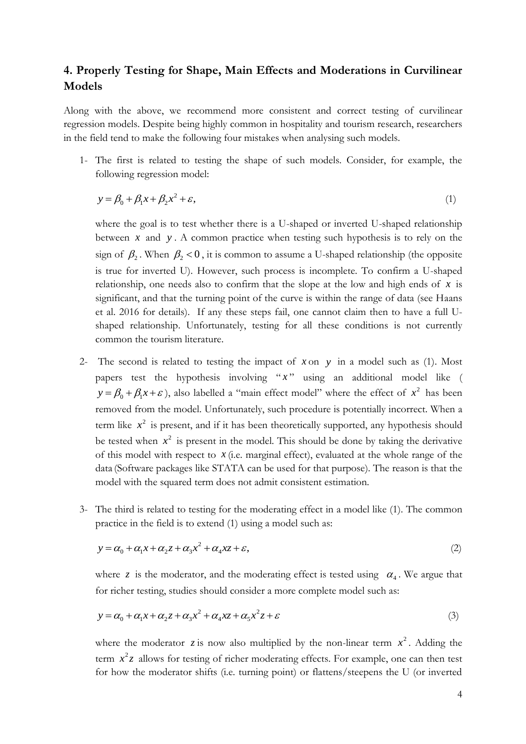## **4. Properly Testing for Shape, Main Effects and Moderations in Curvilinear Models**

Along with the above, we recommend more consistent and correct testing of curvilinear regression models. Despite being highly common in hospitality and tourism research, researchers in the field tend to make the following four mistakes when analysing such models.

1- The first is related to testing the shape of such models. Consider, for example, the following regression model:

$$
y = \beta_0 + \beta_1 x + \beta_2 x^2 + \varepsilon,\tag{1}
$$

where the goal is to test whether there is a U-shaped or inverted U-shaped relationship between  $x$  and  $y$ . A common practice when testing such hypothesis is to rely on the sign of  $\beta_2$ . When  $\beta_2 < 0$ , it is common to assume a U-shaped relationship (the opposite is true for inverted U). However, such process is incomplete. To confirm a U-shaped relationship, one needs also to confirm that the slope at the low and high ends of x is significant, and that the turning point of the curve is within the range of data (see Haans et al. 2016 for details). If any these steps fail, one cannot claim then to have a full Ushaped relationship. Unfortunately, testing for all these conditions is not currently common the tourism literature.

- 2- The second is related to testing the impact of  $x$  on  $y$  in a model such as (1). Most papers test the hypothesis involving " *x* " using an additional model like (  $y = \beta_0 + \beta_1 x + \varepsilon$ , also labelled a "main effect model" where the effect of  $x^2$  has been removed from the model. Unfortunately, such procedure is potentially incorrect. When a term like  $x^2$  is present, and if it has been theoretically supported, any hypothesis should be tested when  $x^2$  is present in the model. This should be done by taking the derivative of this model with respect to  $x$  (i.e. marginal effect), evaluated at the whole range of the data (Software packages like STATA can be used for that purpose). The reason is that the model with the squared term does not admit consistent estimation.
- 3- The third is related to testing for the moderating effect in a model like (1). The common practice in the field is to extend (1) using a model such as:

$$
y = \alpha_0 + \alpha_1 x + \alpha_2 z + \alpha_3 x^2 + \alpha_4 x z + \varepsilon,
$$
\n(2)

where z is the moderator, and the moderating effect is tested using  $\alpha_4$ . We argue that for richer testing, studies should consider a more complete model such as:

$$
y = \alpha_0 + \alpha_1 x + \alpha_2 z + \alpha_3 x^2 + \alpha_4 x z + \alpha_5 x^2 z + \varepsilon
$$
 (3)

where the moderator  $\zeta$  is now also multiplied by the non-linear term  $x^2$ . Adding the term  $x^2z$  allows for testing of richer moderating effects. For example, one can then test for how the moderator shifts (i.e. turning point) or flattens/steepens the U (or inverted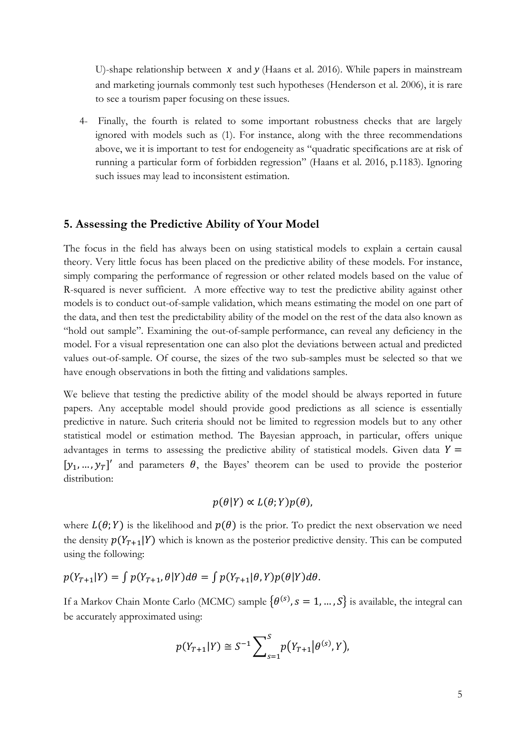U)-shape relationship between *x* and *y* (Haans et al. 2016). While papers in mainstream and marketing journals commonly test such hypotheses (Henderson et al. 2006), it is rare to see a tourism paper focusing on these issues.

4- Finally, the fourth is related to some important robustness checks that are largely ignored with models such as (1). For instance, along with the three recommendations above, we it is important to test for endogeneity as "quadratic specifications are at risk of running a particular form of forbidden regression" (Haans et al. 2016, p.1183). Ignoring such issues may lead to inconsistent estimation.

#### **5. Assessing the Predictive Ability of Your Model**

The focus in the field has always been on using statistical models to explain a certain causal theory. Very little focus has been placed on the predictive ability of these models. For instance, simply comparing the performance of regression or other related models based on the value of R-squared is never sufficient. A more effective way to test the predictive ability against other models is to conduct out-of-sample validation, which means estimating the model on one part of the data, and then test the predictability ability of the model on the rest of the data also known as "hold out sample". Examining the out-of-sample performance, can reveal any deficiency in the model. For a visual representation one can also plot the deviations between actual and predicted values out-of-sample. Of course, the sizes of the two sub-samples must be selected so that we have enough observations in both the fitting and validations samples.

We believe that testing the predictive ability of the model should be always reported in future papers. Any acceptable model should provide good predictions as all science is essentially predictive in nature. Such criteria should not be limited to regression models but to any other statistical model or estimation method. The Bayesian approach, in particular, offers unique advantages in terms to assessing the predictive ability of statistical models. Given data  $Y =$  $[y_1, ..., y_T]$  and parameters  $\theta$ , the Bayes' theorem can be used to provide the posterior distribution:

$$
p(\theta|Y) \propto L(\theta;Y)p(\theta),
$$

where  $L(\theta; Y)$  is the likelihood and  $p(\theta)$  is the prior. To predict the next observation we need the density  $p(Y_{T+1}|Y)$  which is known as the posterior predictive density. This can be computed using the following:

$$
p(Y_{T+1}|Y) = \int p(Y_{T+1}, \theta|Y) d\theta = \int p(Y_{T+1}|\theta, Y) p(\theta|Y) d\theta.
$$

If a Markov Chain Monte Carlo (MCMC) sample  $\{\theta^{(s)}, s = 1, ..., S\}$  is available, the integral can be accurately approximated using:

$$
p(Y_{T+1}|Y) \cong S^{-1} \sum_{s=1}^{S} p(Y_{T+1}|\theta^{(s)}, Y),
$$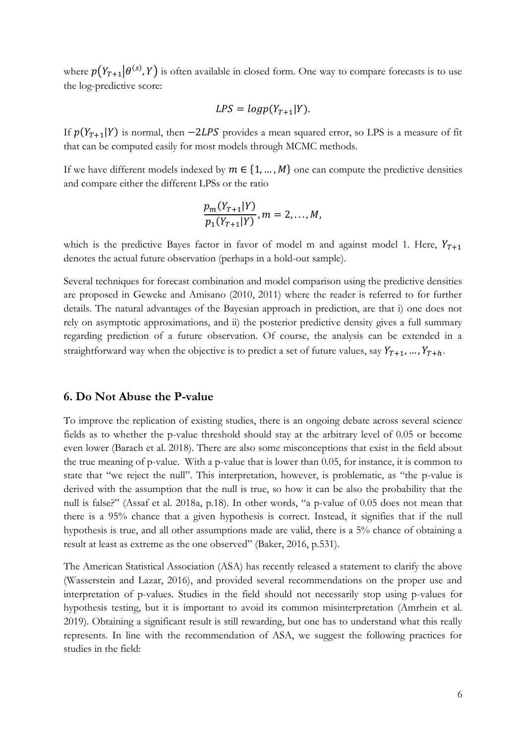where  $p(Y_{T+1}|\theta^{(s)}, Y)$  is often available in closed form. One way to compare forecasts is to use the log-predictive score:

$$
LPS = logp(Y_{T+1}|Y).
$$

If  $p(Y_{T+1}|Y)$  is normal, then  $-2LPS$  provides a mean squared error, so LPS is a measure of fit that can be computed easily for most models through MCMC methods.

If we have different models indexed by  $m \in \{1, ..., M\}$  one can compute the predictive densities and compare either the different LPSs or the ratio

$$
\frac{p_m(Y_{T+1}|Y)}{p_1(Y_{T+1}|Y)}, m = 2,...,M,
$$

which is the predictive Bayes factor in favor of model m and against model 1. Here,  $Y_{T+1}$ denotes the actual future observation (perhaps in a hold-out sample).

Several techniques for forecast combination and model comparison using the predictive densities are proposed in Geweke and Amisano (2010, 2011) where the reader is referred to for further details. The natural advantages of the Bayesian approach in prediction, are that i) one does not rely on asymptotic approximations, and ii) the posterior predictive density gives a full summary regarding prediction of a future observation. Of course, the analysis can be extended in a straightforward way when the objective is to predict a set of future values, say  $Y_{T+1}$ , …,  $Y_{T+h}$ .

#### **6. Do Not Abuse the P-value**

To improve the replication of existing studies, there is an ongoing debate across several science fields as to whether the p-value threshold should stay at the arbitrary level of 0.05 or become even lower (Barach et al. 2018). There are also some misconceptions that exist in the field about the true meaning of p-value. With a p-value that is lower than 0.05, for instance, it is common to state that "we reject the null". This interpretation, however, is problematic, as "the p-value is derived with the assumption that the null is true, so how it can be also the probability that the null is false?" (Assaf et al. 2018a, p.18). In other words, "a p-value of 0.05 does not mean that there is a 95% chance that a given hypothesis is correct. Instead, it signifies that if the null hypothesis is true, and all other assumptions made are valid, there is a 5% chance of obtaining a result at least as extreme as the one observed" (Baker, 2016, p.531).

The American Statistical Association (ASA) has recently released a statement to clarify the above (Wasserstein and Lazar, 2016), and provided several recommendations on the proper use and interpretation of p-values. Studies in the field should not necessarily stop using p-values for hypothesis testing, but it is important to avoid its common misinterpretation (Amrhein et al. 2019). Obtaining a significant result is still rewarding, but one has to understand what this really represents. In line with the recommendation of ASA, we suggest the following practices for studies in the field: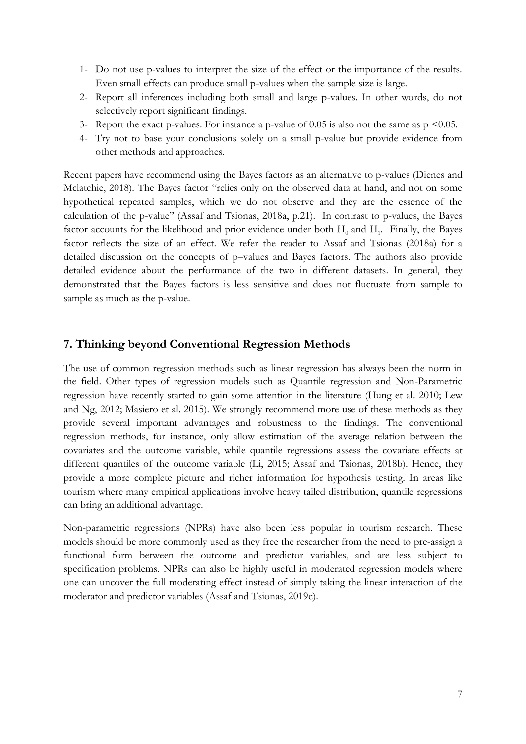- 1- Do not use p-values to interpret the size of the effect or the importance of the results. Even small effects can produce small p-values when the sample size is large.
- 2- Report all inferences including both small and large p-values. In other words, do not selectively report significant findings.
- 3- Report the exact p-values. For instance a p-value of  $0.05$  is also not the same as  $p \le 0.05$ .
- 4- Try not to base your conclusions solely on a small p-value but provide evidence from other methods and approaches.

Recent papers have recommend using the Bayes factors as an alternative to p-values (Dienes and Mclatchie, 2018). The Bayes factor "relies only on the observed data at hand, and not on some hypothetical repeated samples, which we do not observe and they are the essence of the calculation of the p-value" (Assaf and Tsionas, 2018a, p.21). In contrast to p-values, the Bayes factor accounts for the likelihood and prior evidence under both  $H_0$  and  $H_1$ . Finally, the Bayes factor reflects the size of an effect. We refer the reader to Assaf and Tsionas (2018a) for a detailed discussion on the concepts of p–values and Bayes factors. The authors also provide detailed evidence about the performance of the two in different datasets. In general, they demonstrated that the Bayes factors is less sensitive and does not fluctuate from sample to sample as much as the p-value.

#### **7. Thinking beyond Conventional Regression Methods**

The use of common regression methods such as linear regression has always been the norm in the field. Other types of regression models such as Quantile regression and Non-Parametric regression have recently started to gain some attention in the literature (Hung et al. 2010; Lew and Ng, 2012; Masiero et al. 2015). We strongly recommend more use of these methods as they provide several important advantages and robustness to the findings. The conventional regression methods, for instance, only allow estimation of the average relation between the covariates and the outcome variable, while quantile regressions assess the covariate effects at different quantiles of the outcome variable (Li, 2015; Assaf and Tsionas, 2018b). Hence, they provide a more complete picture and richer information for hypothesis testing. In areas like tourism where many empirical applications involve heavy tailed distribution, quantile regressions can bring an additional advantage.

Non-parametric regressions (NPRs) have also been less popular in tourism research. These models should be more commonly used as they free the researcher from the need to pre-assign a functional form between the outcome and predictor variables, and are less subject to specification problems. NPRs can also be highly useful in moderated regression models where one can uncover the full moderating effect instead of simply taking the linear interaction of the moderator and predictor variables (Assaf and Tsionas, 2019c).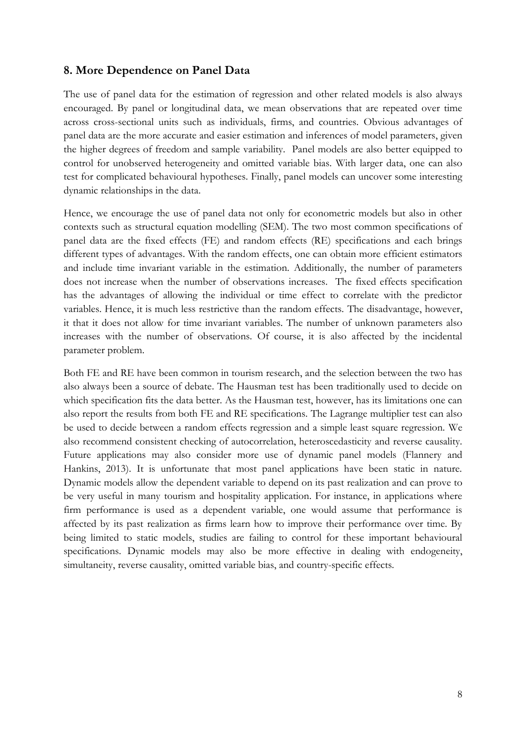## **8. More Dependence on Panel Data**

The use of panel data for the estimation of regression and other related models is also always encouraged. By panel or longitudinal data, we mean observations that are repeated over time across cross-sectional units such as individuals, firms, and countries. Obvious advantages of panel data are the more accurate and easier estimation and inferences of model parameters, given the higher degrees of freedom and sample variability. Panel models are also better equipped to control for unobserved heterogeneity and omitted variable bias. With larger data, one can also test for complicated behavioural hypotheses. Finally, panel models can uncover some interesting dynamic relationships in the data.

Hence, we encourage the use of panel data not only for econometric models but also in other contexts such as structural equation modelling (SEM). The two most common specifications of panel data are the fixed effects (FE) and random effects (RE) specifications and each brings different types of advantages. With the random effects, one can obtain more efficient estimators and include time invariant variable in the estimation. Additionally, the number of parameters does not increase when the number of observations increases. The fixed effects specification has the advantages of allowing the individual or time effect to correlate with the predictor variables. Hence, it is much less restrictive than the random effects. The disadvantage, however, it that it does not allow for time invariant variables. The number of unknown parameters also increases with the number of observations. Of course, it is also affected by the incidental parameter problem.

Both FE and RE have been common in tourism research, and the selection between the two has also always been a source of debate. The Hausman test has been traditionally used to decide on which specification fits the data better. As the Hausman test, however, has its limitations one can also report the results from both FE and RE specifications. The Lagrange multiplier test can also be used to decide between a random effects regression and a simple least square regression. We also recommend consistent checking of autocorrelation, heteroscedasticity and reverse causality. Future applications may also consider more use of dynamic panel models (Flannery and Hankins, 2013). It is unfortunate that most panel applications have been static in nature. Dynamic models allow the dependent variable to depend on its past realization and can prove to be very useful in many tourism and hospitality application. For instance, in applications where firm performance is used as a dependent variable, one would assume that performance is affected by its past realization as firms learn how to improve their performance over time. By being limited to static models, studies are failing to control for these important behavioural specifications. Dynamic models may also be more effective in dealing with endogeneity, simultaneity, reverse causality, omitted variable bias, and country-specific effects.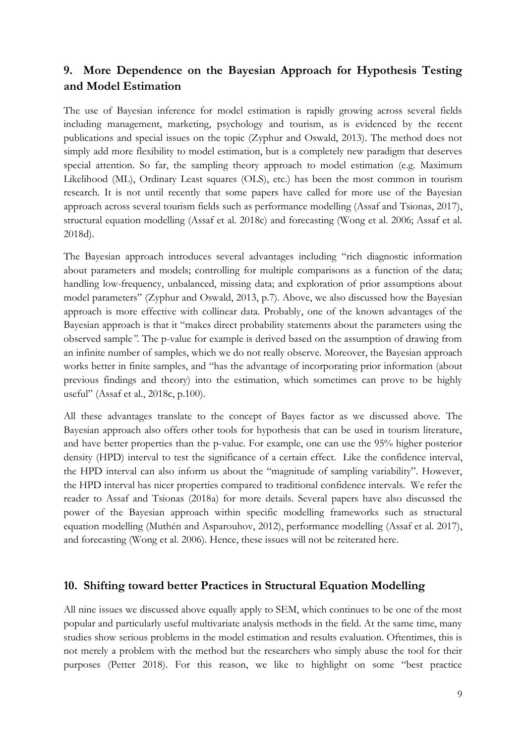## **9. More Dependence on the Bayesian Approach for Hypothesis Testing and Model Estimation**

The use of Bayesian inference for model estimation is rapidly growing across several fields including management, marketing, psychology and tourism, as is evidenced by the recent publications and special issues on the topic (Zyphur and Oswald, 2013). The method does not simply add more flexibility to model estimation, but is a completely new paradigm that deserves special attention. So far, the sampling theory approach to model estimation (e.g. Maximum Likelihood (ML), Ordinary Least squares (OLS), etc.) has been the most common in tourism research. It is not until recently that some papers have called for more use of the Bayesian approach across several tourism fields such as performance modelling (Assaf and Tsionas, 2017), structural equation modelling (Assaf et al. 2018c) and forecasting (Wong et al. 2006; Assaf et al. 2018d).

The Bayesian approach introduces several advantages including "rich diagnostic information about parameters and models; controlling for multiple comparisons as a function of the data; handling low-frequency, unbalanced, missing data; and exploration of prior assumptions about model parameters" (Zyphur and Oswald, 2013, p.7). Above, we also discussed how the Bayesian approach is more effective with collinear data. Probably, one of the known advantages of the Bayesian approach is that it "makes direct probability statements about the parameters using the observed sample*"*. The p-value for example is derived based on the assumption of drawing from an infinite number of samples, which we do not really observe. Moreover, the Bayesian approach works better in finite samples, and "has the advantage of incorporating prior information (about previous findings and theory) into the estimation, which sometimes can prove to be highly useful" (Assaf et al., 2018c, p.100).

All these advantages translate to the concept of Bayes factor as we discussed above. The Bayesian approach also offers other tools for hypothesis that can be used in tourism literature, and have better properties than the p-value. For example, one can use the 95% higher posterior density (HPD) interval to test the significance of a certain effect. Like the confidence interval, the HPD interval can also inform us about the "magnitude of sampling variability". However, the HPD interval has nicer properties compared to traditional confidence intervals. We refer the reader to Assaf and Tsionas (2018a) for more details. Several papers have also discussed the power of the Bayesian approach within specific modelling frameworks such as structural equation modelling (Muthén and Asparouhov, 2012), performance modelling (Assaf et al. 2017), and forecasting (Wong et al. 2006). Hence, these issues will not be reiterated here.

### **10. Shifting toward better Practices in Structural Equation Modelling**

All nine issues we discussed above equally apply to SEM, which continues to be one of the most popular and particularly useful multivariate analysis methods in the field. At the same time, many studies show serious problems in the model estimation and results evaluation. Oftentimes, this is not merely a problem with the method but the researchers who simply abuse the tool for their purposes (Petter 2018). For this reason, we like to highlight on some "best practice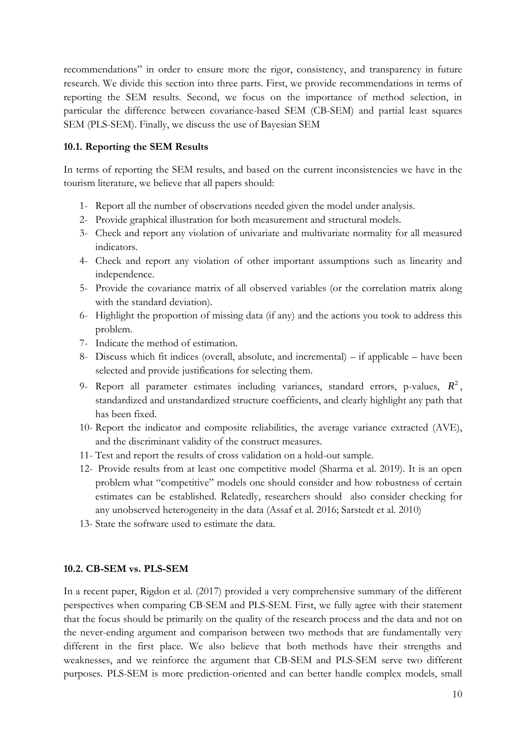recommendations" in order to ensure more the rigor, consistency, and transparency in future research. We divide this section into three parts. First, we provide recommendations in terms of reporting the SEM results. Second, we focus on the importance of method selection, in particular the difference between covariance-based SEM (CB-SEM) and partial least squares SEM (PLS-SEM). Finally, we discuss the use of Bayesian SEM

#### **10.1. Reporting the SEM Results**

In terms of reporting the SEM results, and based on the current inconsistencies we have in the tourism literature, we believe that all papers should:

- 1- Report all the number of observations needed given the model under analysis.
- 2- Provide graphical illustration for both measurement and structural models.
- 3- Check and report any violation of univariate and multivariate normality for all measured indicators.
- 4- Check and report any violation of other important assumptions such as linearity and independence.
- 5- Provide the covariance matrix of all observed variables (or the correlation matrix along with the standard deviation).
- 6- Highlight the proportion of missing data (if any) and the actions you took to address this problem.
- 7- Indicate the method of estimation.
- 8- Discuss which fit indices (overall, absolute, and incremental) if applicable have been selected and provide justifications for selecting them.
- 9- Report all parameter estimates including variances, standard errors, p-values,  $R^2$ , standardized and unstandardized structure coefficients, and clearly highlight any path that has been fixed.
- 10- Report the indicator and composite reliabilities, the average variance extracted (AVE), and the discriminant validity of the construct measures.
- 11- Test and report the results of cross validation on a hold-out sample.
- 12- Provide results from at least one competitive model (Sharma et al. 2019). It is an open problem what "competitive" models one should consider and how robustness of certain estimates can be established. Relatedly, researchers should also consider checking for any unobserved heterogeneity in the data (Assaf et al. 2016; Sarstedt et al. 2010)
- 13- State the software used to estimate the data.

#### **10.2. CB-SEM vs. PLS-SEM**

In a recent paper, Rigdon et al. (2017) provided a very comprehensive summary of the different perspectives when comparing CB-SEM and PLS-SEM. First, we fully agree with their statement that the focus should be primarily on the quality of the research process and the data and not on the never-ending argument and comparison between two methods that are fundamentally very different in the first place. We also believe that both methods have their strengths and weaknesses, and we reinforce the argument that CB-SEM and PLS-SEM serve two different purposes. PLS-SEM is more prediction-oriented and can better handle complex models, small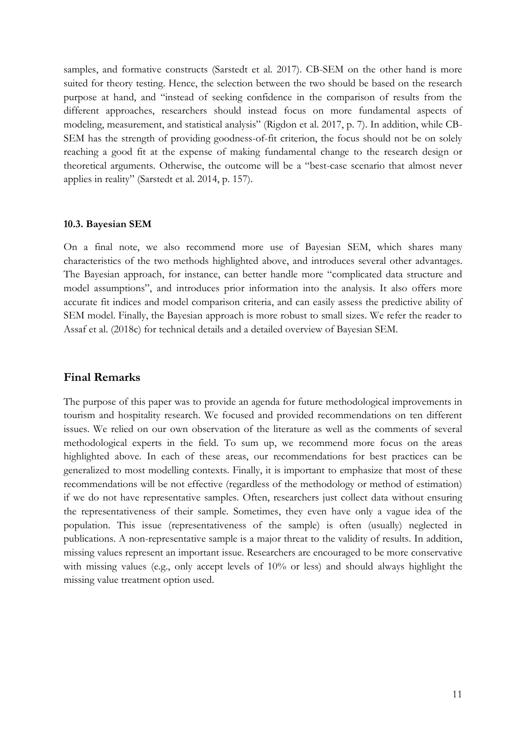samples, and formative constructs (Sarstedt et al. 2017). CB-SEM on the other hand is more suited for theory testing. Hence, the selection between the two should be based on the research purpose at hand, and "instead of seeking confidence in the comparison of results from the different approaches, researchers should instead focus on more fundamental aspects of modeling, measurement, and statistical analysis" (Rigdon et al. 2017, p. 7). In addition, while CB-SEM has the strength of providing goodness-of-fit criterion, the focus should not be on solely reaching a good fit at the expense of making fundamental change to the research design or theoretical arguments. Otherwise, the outcome will be a "best-case scenario that almost never applies in reality" (Sarstedt et al. 2014, p. 157).

#### **10.3. Bayesian SEM**

On a final note, we also recommend more use of Bayesian SEM, which shares many characteristics of the two methods highlighted above, and introduces several other advantages. The Bayesian approach, for instance, can better handle more "complicated data structure and model assumptions", and introduces prior information into the analysis. It also offers more accurate fit indices and model comparison criteria, and can easily assess the predictive ability of SEM model. Finally, the Bayesian approach is more robust to small sizes. We refer the reader to Assaf et al. (2018c) for technical details and a detailed overview of Bayesian SEM.

#### **Final Remarks**

The purpose of this paper was to provide an agenda for future methodological improvements in tourism and hospitality research. We focused and provided recommendations on ten different issues. We relied on our own observation of the literature as well as the comments of several methodological experts in the field. To sum up, we recommend more focus on the areas highlighted above. In each of these areas, our recommendations for best practices can be generalized to most modelling contexts. Finally, it is important to emphasize that most of these recommendations will be not effective (regardless of the methodology or method of estimation) if we do not have representative samples. Often, researchers just collect data without ensuring the representativeness of their sample. Sometimes, they even have only a vague idea of the population. This issue (representativeness of the sample) is often (usually) neglected in publications. A non-representative sample is a major threat to the validity of results. In addition, missing values represent an important issue. Researchers are encouraged to be more conservative with missing values (e.g., only accept levels of 10% or less) and should always highlight the missing value treatment option used.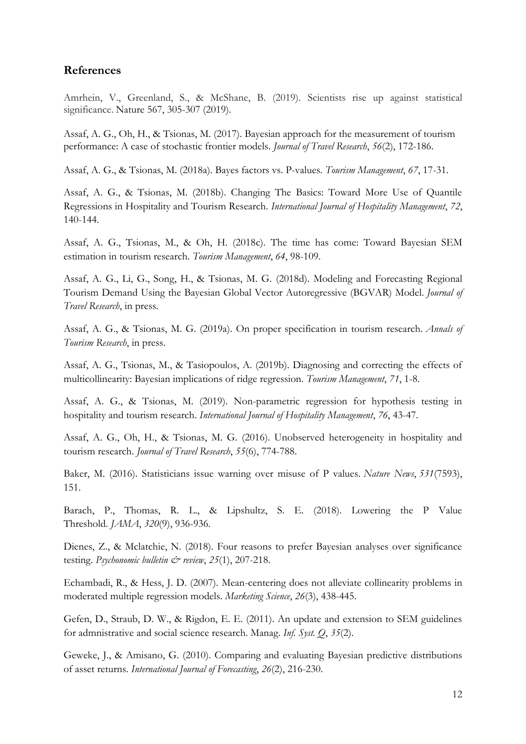## **References**

Amrhein, V., Greenland, S., & McShane, B. (2019). Scientists rise up against statistical significance. Nature 567, 305-307 (2019).

Assaf, A. G., Oh, H., & Tsionas, M. (2017). Bayesian approach for the measurement of tourism performance: A case of stochastic frontier models. *Journal of Travel Research*, *56*(2), 172-186.

Assaf, A. G., & Tsionas, M. (2018a). Bayes factors vs. P-values. *Tourism Management*, *67*, 17-31.

Assaf, A. G., & Tsionas, M. (2018b). Changing The Basics: Toward More Use of Quantile Regressions in Hospitality and Tourism Research. *International Journal of Hospitality Management*, *72*, 140-144.

Assaf, A. G., Tsionas, M., & Oh, H. (2018c). The time has come: Toward Bayesian SEM estimation in tourism research. *Tourism Management*, *64*, 98-109.

Assaf, A. G., Li, G., Song, H., & Tsionas, M. G. (2018d). Modeling and Forecasting Regional Tourism Demand Using the Bayesian Global Vector Autoregressive (BGVAR) Model. *Journal of Travel Research*, in press.

Assaf, A. G., & Tsionas, M. G. (2019a). On proper specification in tourism research. *Annals of Tourism Research*, in press.

Assaf, A. G., Tsionas, M., & Tasiopoulos, A. (2019b). Diagnosing and correcting the effects of multicollinearity: Bayesian implications of ridge regression. *Tourism Management*, *71*, 1-8.

Assaf, A. G., & Tsionas, M. (2019). Non-parametric regression for hypothesis testing in hospitality and tourism research. *International Journal of Hospitality Management*, *76*, 43-47.

Assaf, A. G., Oh, H., & Tsionas, M. G. (2016). Unobserved heterogeneity in hospitality and tourism research. *Journal of Travel Research*, *55*(6), 774-788.

Baker, M. (2016). Statisticians issue warning over misuse of P values. *Nature News*, *531*(7593), 151.

Barach, P., Thomas, R. L., & Lipshultz, S. E. (2018). Lowering the P Value Threshold. *JAMA*, *320*(9), 936-936.

Dienes, Z., & Mclatchie, N. (2018). Four reasons to prefer Bayesian analyses over significance testing. *Psychonomic bulletin*  $\mathcal{Q}$  *review*, 25(1), 207-218.

Echambadi, R., & Hess, J. D. (2007). Mean-centering does not alleviate collinearity problems in moderated multiple regression models. *Marketing Science*, *26*(3), 438-445.

Gefen, D., Straub, D. W., & Rigdon, E. E. (2011). An update and extension to SEM guidelines for admnistrative and social science research. Manag. *Inf. Syst. Q*, *35*(2).

Geweke, J., & Amisano, G. (2010). Comparing and evaluating Bayesian predictive distributions of asset returns. *International Journal of Forecasting*, *26*(2), 216-230.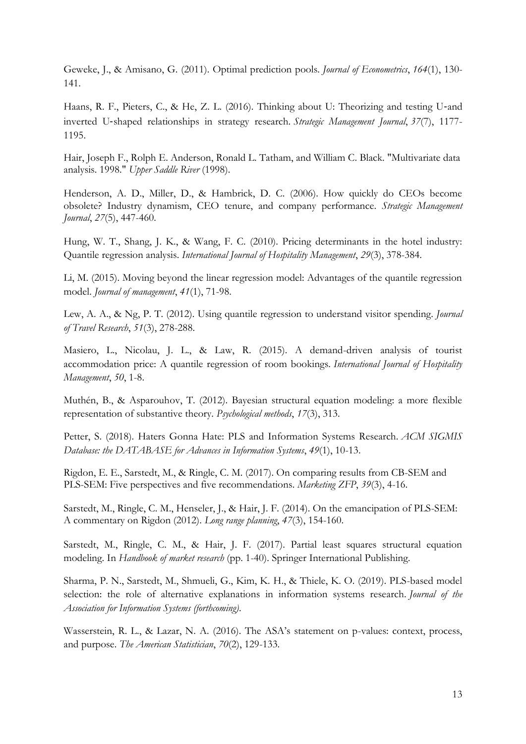Geweke, J., & Amisano, G. (2011). Optimal prediction pools. *Journal of Econometrics*, *164*(1), 130- 141.

Haans, R. F., Pieters, C., & He, Z. L. (2016). Thinking about U: Theorizing and testing U-and inverted U‐shaped relationships in strategy research. *Strategic Management Journal*, *37*(7), 1177- 1195.

Hair, Joseph F., Rolph E. Anderson, Ronald L. Tatham, and William C. Black. "Multivariate data analysis. 1998." *Upper Saddle River* (1998).

Henderson, A. D., Miller, D., & Hambrick, D. C. (2006). How quickly do CEOs become obsolete? Industry dynamism, CEO tenure, and company performance. *Strategic Management Journal*, *27*(5), 447-460.

Hung, W. T., Shang, J. K., & Wang, F. C. (2010). Pricing determinants in the hotel industry: Quantile regression analysis. *International Journal of Hospitality Management*, *29*(3), 378-384.

Li, M. (2015). Moving beyond the linear regression model: Advantages of the quantile regression model. *Journal of management*, *41*(1), 71-98.

Lew, A. A., & Ng, P. T. (2012). Using quantile regression to understand visitor spending. *Journal of Travel Research*, *51*(3), 278-288.

Masiero, L., Nicolau, J. L., & Law, R. (2015). A demand-driven analysis of tourist accommodation price: A quantile regression of room bookings. *International Journal of Hospitality Management*, *50*, 1-8.

Muthén, B., & Asparouhov, T. (2012). Bayesian structural equation modeling: a more flexible representation of substantive theory. *Psychological methods*, *17*(3), 313.

Petter, S. (2018). Haters Gonna Hate: PLS and Information Systems Research. *ACM SIGMIS Database: the DATABASE for Advances in Information Systems*, *49*(1), 10-13.

Rigdon, E. E., Sarstedt, M., & Ringle, C. M. (2017). On comparing results from CB-SEM and PLS-SEM: Five perspectives and five recommendations. *Marketing ZFP*, *39*(3), 4-16.

Sarstedt, M., Ringle, C. M., Henseler, J., & Hair, J. F. (2014). On the emancipation of PLS-SEM: A commentary on Rigdon (2012). *Long range planning*, *47*(3), 154-160.

Sarstedt, M., Ringle, C. M., & Hair, J. F. (2017). Partial least squares structural equation modeling. In *Handbook of market research* (pp. 1-40). Springer International Publishing.

Sharma, P. N., Sarstedt, M., Shmueli, G., Kim, K. H., & Thiele, K. O. (2019). PLS-based model selection: the role of alternative explanations in information systems research. *Journal of the Association for Information Systems (forthcoming)*.

Wasserstein, R. L., & Lazar, N. A. (2016). The ASA's statement on p-values: context, process, and purpose. *The American Statistician*, *70*(2), 129-133.